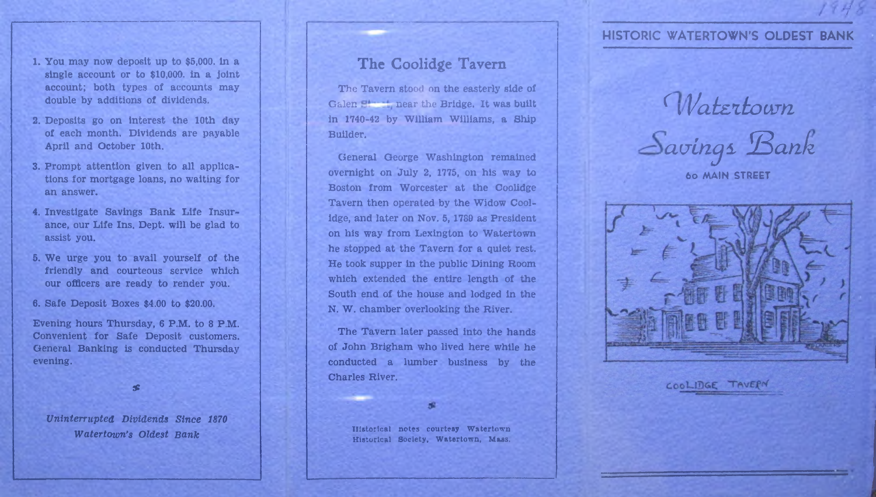## **HISTORIC WATERTOWN'S OLDEST BANK**

*H<*

- 1. You may now deposit up to \$5,000. in a single account or to \$10,000. in a joint account; both types of accounts may double by additions of dividends.
- 2. Deposits go on interest the 10th day of each month. Dividends are payable April and October 10th.
- 3. Prompt attention given to all applications for mortgage loans, no waiting for an answer.
- 4. Investigate Savings Bank Life Insurance, our Life Ins. Dept, will be glad to assist you.
- 5. We urge you to avail yourself of the friendly and courteous service which our officers are ready to render you.
- 6. Safe Deposit Boxes \$4.00 to \$20.00.

Evening hours Thursday, 6 P.M. to 8 P.M. Convenient for Safe Deposit customers. General Banking is conducted Thursday evening.

sc

*Uninterrupted Dividends Since 1870 Watertown's Oldest Bank*

# **The Coolidge Tavern**

The Tavern stood on the easterly side of Galen  $St$  near the Bridge. It was built in 1740-42 by William Williams, a Ship Builder.

General George Washington remained overnight on July 2, 1775, on his way to Boston from Worcester at the Coolidge Tavern then operated by the Widow Coolidge, and later on Nov. 5, 1789 as President on his way from Lexington to Watertown he stopped at the Tavern for a quiet rest. He took supper in the public Dining Room which extended the entire length of the South end of the house and lodged in the N. W. chamber overlooking the River.

The Tavern later passed into the hands of John Brigham who lived here while he conducted a lumber business by the Charles River.

Historical notes courtesy Watertown Historical Society, Watertown, Mass.

*( \Vatzxkoam am,Lng± HBan/z*

**6o MAIN STREET**



COOLIDGE TAVERN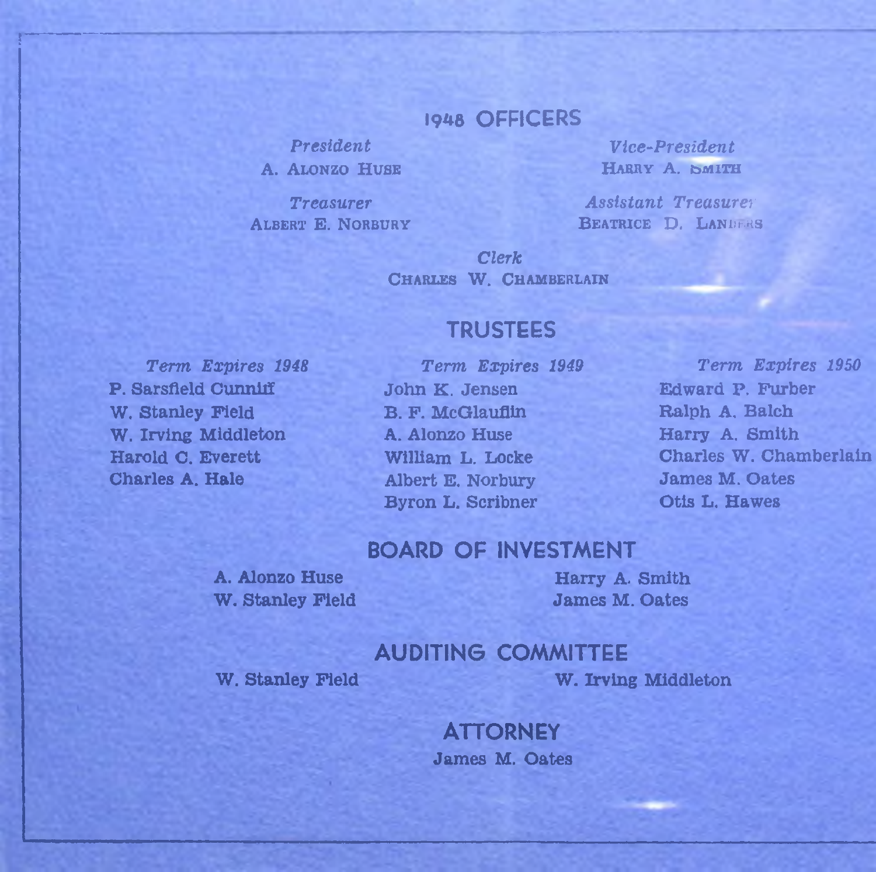## 1948 OFFICERS

**President A. ALONZO HUSE** 

**Treasurer ALBERT E. NORBURY** 

Vice-President HARRY A. SMITH

**Assistant Treasurer** BEATRICE D. LANDERS

Clerk. CHARLES W. CHAMBERLAIN

## **TRUSTEES**

Term Expires 1948 P. Sarsfield Cunniff W. Stanley Field W. Irving Middleton Harold C. Everett **Charles A. Hale** 

Term Expires 1949 John K. Jensen **B. F. McGlauflin** A. Alonzo Huse William L. Locke Albert E. Norbury **Byron L. Scribner** 

Term Expires 1950 Edward P. Furber Ralph A. Balch Harry A. Smith Charles W. Chamberlain **James M. Oates** Otis L. Hawes

### **BOARD OF INVESTMENT**

A. Alonzo Huse W. Stanley Field

#### Harry A. Smith **James M. Oates**

### **AUDITING COMMITTEE**

W. Stanley Field

W. Irving Middleton

**ATTORNEY James M. Oates**